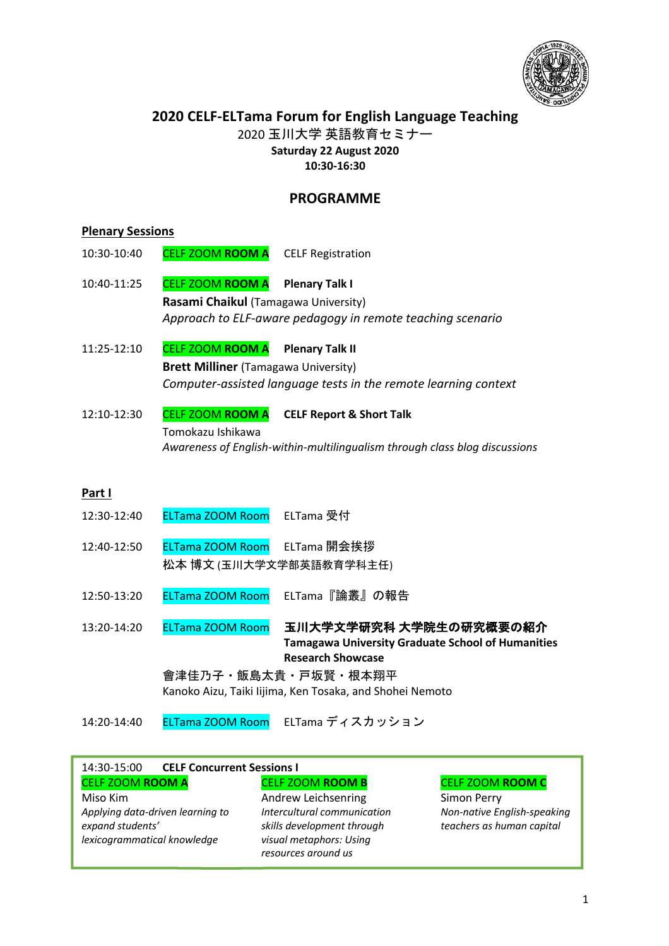

# **2020 CELF-ELTama Forum for English Language Teaching**

2020 玉川大学 英語教育セミナー **Saturday 22 August 2020 10:30-16:30**

# **PROGRAMME**

# **Plenary Sessions**

- 10:30-10:40 CELF ZOOM **ROOM A** CELF Registration
- 10:40-11:25 CELF ZOOM **ROOM A Plenary Talk I Rasami Chaikul** (Tamagawa University) *Approach to ELF-aware pedagogy in remote teaching scenario*
- 11:25-12:10 CELF ZOOM **ROOM A Plenary Talk II Brett Milliner** (Tamagawa University) *Computer-assisted language tests in the remote learning context*
- 12:10-12:30 CELF ZOOM **ROOM A CELF Report & Short Talk** Tomokazu Ishikawa *Awareness of English-within-multilingualism through class blog discussions*

## **Part I**

- 12:30-12:40 ELTama ZOOM Room ELTama 受付
- 12:40-12:50 ELTama ZOOM Room ELTama 開会挨拶 松本 博文 (玉川大学文学部英語教育学科主任)
- 12:50-13:20 ELTama ZOOM Room ELTama『論叢』の報告
- 13:20-14:20 ELTama ZOOM Room 玉川大学文学研究科 大学院生の研究概要の紹介 **Tamagawa University Graduate School of Humanities Research Showcase** 會津佳乃子・飯島太貴・戸坂賢・根本翔平

Kanoko Aizu, Taiki Iijima, Ken Tosaka, and Shohei Nemoto

14:20-14:40 ELTama ZOOM Room ELTama ディスカッション

#### 14:30-15:00 **CELF Concurrent Sessions I** CELF ZOOM **ROOM A**

# Miso Kim

*Applying data-driven learning to expand students' lexicogrammatical knowledge*

# CELF ZOOM **ROOM B** Andrew Leichsenring

*Intercultural communication skills development through visual metaphors: Using resources around us*

## CELF ZOOM **ROOM C**

Simon Perry *Non-native English-speaking teachers as human capital*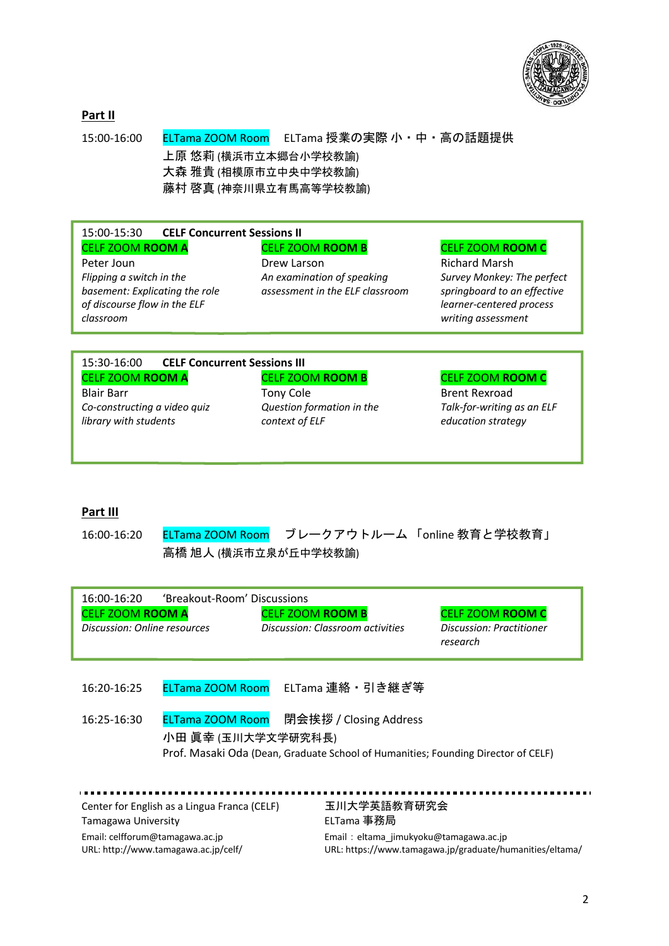

# **Part II**

15:00-16:00 ELTama ZOOM Room ELTama 授業の実際 小・中・高の話題提供 上原 悠莉 (横浜市立本郷台小学校教諭) 大森 雅貴 (相模原市立中央中学校教諭) 藤村 啓真 (神奈川県立有馬高等学校教諭)

# 15:00-15:30 **CELF Concurrent Sessions II**

CELF ZOOM **ROOM A** Peter Joun *Flipping a switch in the basement: Explicating the role of discourse flow in the ELF classroom*

# CELF ZOOM **ROOM B**

Drew Larson *An examination of speaking assessment in the ELF classroom*

# CELF ZOOM **ROOM C**

Richard Marsh *Survey Monkey: The perfect springboard to an effective learner-centered process writing assessment*

## 15:30-16:00 **CELF Concurrent Sessions III** CELF ZOOM **ROOM A** Blair Barr *Co-constructing a video quiz library with students*

# CELF ZOOM **ROOM B**

Tony Cole *Question formation in the context of ELF*

# CELF ZOOM **ROOM C**

Brent Rexroad *Talk-for-writing as an ELF education strategy*

# **Part III**

16:00-16:20 ELTama ZOOM Room ブレークアウトルーム 「online 教育と学校教育」 高橋 旭人 (横浜市立泉が丘中学校教諭)

| 16:00-16:20                  | 'Breakout-Room' Discussions |                                  |                          |
|------------------------------|-----------------------------|----------------------------------|--------------------------|
| CELF ZOOM ROOM A             |                             | <b>CELF ZOOM ROOM B</b>          | <b>CELF ZOOM ROOM C</b>  |
| Discussion: Online resources |                             | Discussion: Classroom activities | Discussion: Practitioner |
|                              |                             |                                  | research                 |

# 16:20-16:25 ELTama ZOOM Room ELTama 連絡・引き継ぎ等

16:25-16:30 **ELTama ZOOM Room** 閉会挨拶 / Closing Address 小田 眞幸 (玉川大学文学研究科長) Prof. Masaki Oda (Dean, Graduate School of Humanities; Founding Director of CELF)

Center for English as a Lingua Franca (CELF) 玉川大学英語教育研究会 Tamagawa University **ELTAMA TO ACCONTENT TO A THILLET** ELTama 事務局 Email: celfforum@tamagawa.ac.jp Email:eltama\_jimukyoku@tamagawa.ac.jp

URL: http://www.tamagawa.ac.jp/celf/ URL: https://www.tamagawa.jp/graduate/humanities/eltama/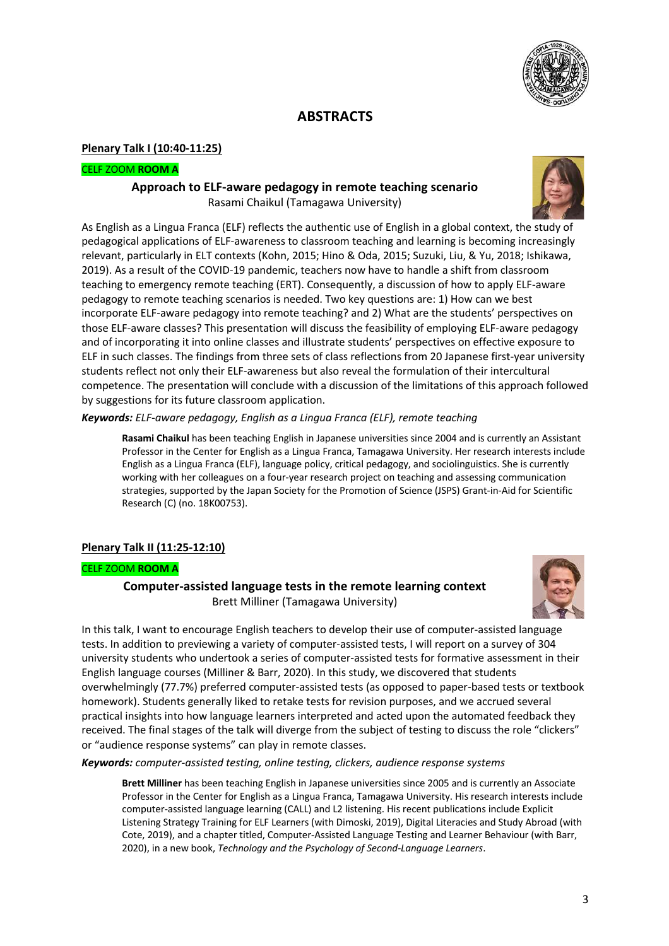

# **ABSTRACTS**

# **Plenary Talk I (10:40-11:25)**

# CELF ZOOM **ROOM A**

# **Approach to ELF-aware pedagogy in remote teaching scenario** Rasami Chaikul (Tamagawa University)



As English as a Lingua Franca (ELF) reflects the authentic use of English in a global context, the study of pedagogical applications of ELF-awareness to classroom teaching and learning is becoming increasingly relevant, particularly in ELT contexts (Kohn, 2015; Hino & Oda, 2015; Suzuki, Liu, & Yu, 2018; Ishikawa, 2019). As a result of the COVID-19 pandemic, teachers now have to handle a shift from classroom teaching to emergency remote teaching (ERT). Consequently, a discussion of how to apply ELF-aware pedagogy to remote teaching scenarios is needed. Two key questions are: 1) How can we best incorporate ELF-aware pedagogy into remote teaching? and 2) What are the students' perspectives on those ELF-aware classes? This presentation will discuss the feasibility of employing ELF-aware pedagogy and of incorporating it into online classes and illustrate students' perspectives on effective exposure to ELF in such classes. The findings from three sets of class reflections from 20 Japanese first-year university students reflect not only their ELF-awareness but also reveal the formulation of their intercultural competence. The presentation will conclude with a discussion of the limitations of this approach followed by suggestions for its future classroom application.

## *Keywords: ELF-aware pedagogy, English as a Lingua Franca (ELF), remote teaching*

**Rasami Chaikul** has been teaching English in Japanese universities since 2004 and is currently an Assistant Professor in the Center for English as a Lingua Franca, Tamagawa University. Her research interests include English as a Lingua Franca (ELF), language policy, critical pedagogy, and sociolinguistics. She is currently working with her colleagues on a four-year research project on teaching and assessing communication strategies, supported by the Japan Society for the Promotion of Science (JSPS) Grant-in-Aid for Scientific Research (C) (no. 18K00753).

# **Plenary Talk II (11:25-12:10)**

## CELF ZOOM **ROOM A**

**Computer-assisted language tests in the remote learning context** Brett Milliner (Tamagawa University)



In this talk, I want to encourage English teachers to develop their use of computer-assisted language tests. In addition to previewing a variety of computer-assisted tests, I will report on a survey of 304 university students who undertook a series of computer-assisted tests for formative assessment in their English language courses (Milliner & Barr, 2020). In this study, we discovered that students overwhelmingly (77.7%) preferred computer-assisted tests (as opposed to paper-based tests or textbook homework). Students generally liked to retake tests for revision purposes, and we accrued several practical insights into how language learners interpreted and acted upon the automated feedback they received. The final stages of the talk will diverge from the subject of testing to discuss the role "clickers" or "audience response systems" can play in remote classes.

*Keywords: computer-assisted testing, online testing, clickers, audience response systems*

**Brett Milliner** has been teaching English in Japanese universities since 2005 and is currently an Associate Professor in the Center for English as a Lingua Franca, Tamagawa University. His research interests include computer-assisted language learning (CALL) and L2 listening. His recent publications include Explicit Listening Strategy Training for ELF Learners (with Dimoski, 2019), Digital Literacies and Study Abroad (with Cote, 2019), and a chapter titled, Computer-Assisted Language Testing and Learner Behaviour (with Barr, 2020), in a new book, *Technology and the Psychology of Second-Language Learners*.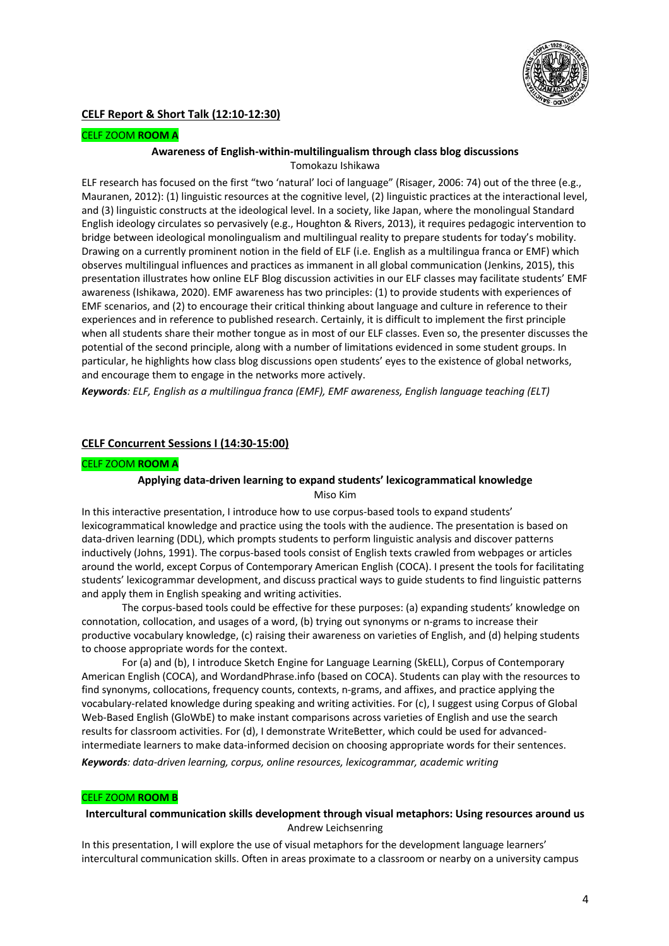

# **CELF Report & Short Talk (12:10-12:30)**

#### CELF ZOOM **ROOM A**

#### **Awareness of English-within-multilingualism through class blog discussions** Tomokazu Ishikawa

ELF research has focused on the first "two 'natural' loci of language" (Risager, 2006: 74) out of the three (e.g., Mauranen, 2012): (1) linguistic resources at the cognitive level, (2) linguistic practices at the interactional level, and (3) linguistic constructs at the ideological level. In a society, like Japan, where the monolingual Standard English ideology circulates so pervasively (e.g., Houghton & Rivers, 2013), it requires pedagogic intervention to bridge between ideological monolingualism and multilingual reality to prepare students for today's mobility. Drawing on a currently prominent notion in the field of ELF (i.e. English as a multilingua franca or EMF) which observes multilingual influences and practices as immanent in all global communication (Jenkins, 2015), this presentation illustrates how online ELF Blog discussion activities in our ELF classes may facilitate students' EMF awareness (Ishikawa, 2020). EMF awareness has two principles: (1) to provide students with experiences of EMF scenarios, and (2) to encourage their critical thinking about language and culture in reference to their experiences and in reference to published research. Certainly, it is difficult to implement the first principle when all students share their mother tongue as in most of our ELF classes. Even so, the presenter discusses the potential of the second principle, along with a number of limitations evidenced in some student groups. In particular, he highlights how class blog discussions open students' eyes to the existence of global networks, and encourage them to engage in the networks more actively.

*Keywords: ELF, English as a multilingua franca (EMF), EMF awareness, English language teaching (ELT)*

#### **CELF Concurrent Sessions I (14:30-15:00)**

#### CELF ZOOM **ROOM A**

#### **Applying data-driven learning to expand students' lexicogrammatical knowledge** Miso Kim

In this interactive presentation, I introduce how to use corpus-based tools to expand students' lexicogrammatical knowledge and practice using the tools with the audience. The presentation is based on data-driven learning (DDL), which prompts students to perform linguistic analysis and discover patterns inductively (Johns, 1991). The corpus-based tools consist of English texts crawled from webpages or articles around the world, except Corpus of Contemporary American English (COCA). I present the tools for facilitating students' lexicogrammar development, and discuss practical ways to guide students to find linguistic patterns and apply them in English speaking and writing activities.

The corpus-based tools could be effective for these purposes: (a) expanding students' knowledge on connotation, collocation, and usages of a word, (b) trying out synonyms or n-grams to increase their productive vocabulary knowledge, (c) raising their awareness on varieties of English, and (d) helping students to choose appropriate words for the context.

For (a) and (b), I introduce Sketch Engine for Language Learning (SkELL), Corpus of Contemporary American English (COCA), and WordandPhrase.info (based on COCA). Students can play with the resources to find synonyms, collocations, frequency counts, contexts, n-grams, and affixes, and practice applying the vocabulary-related knowledge during speaking and writing activities. For (c), I suggest using Corpus of Global Web-Based English (GloWbE) to make instant comparisons across varieties of English and use the search results for classroom activities. For (d), I demonstrate WriteBetter, which could be used for advancedintermediate learners to make data-informed decision on choosing appropriate words for their sentences. *Keywords: data-driven learning, corpus, online resources, lexicogrammar, academic writing*

#### CELF ZOOM **ROOM B**

#### **Intercultural communication skills development through visual metaphors: Using resources around us** Andrew Leichsenring

In this presentation, I will explore the use of visual metaphors for the development language learners' intercultural communication skills. Often in areas proximate to a classroom or nearby on a university campus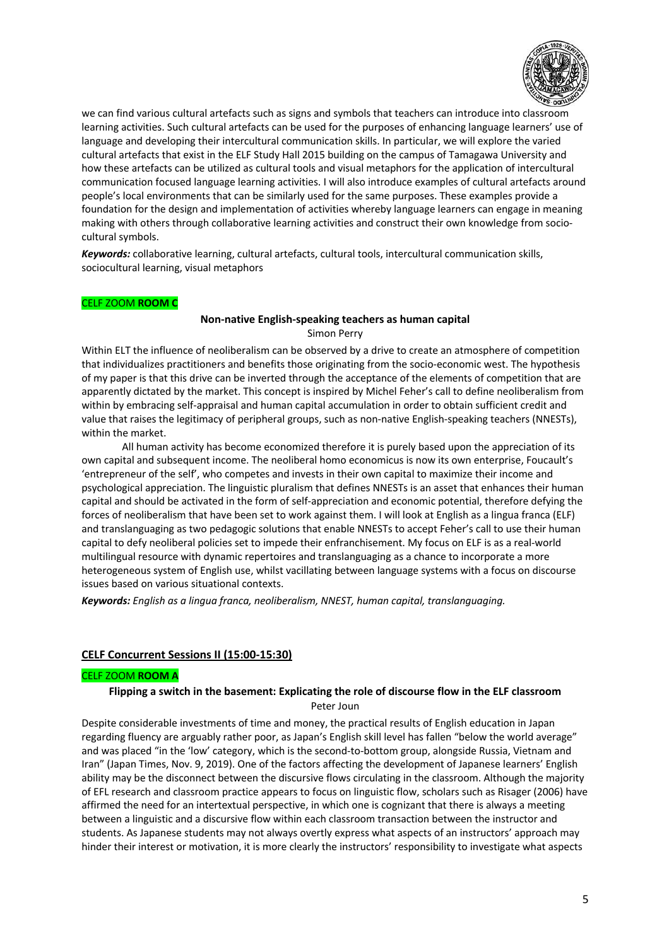

we can find various cultural artefacts such as signs and symbols that teachers can introduce into classroom learning activities. Such cultural artefacts can be used for the purposes of enhancing language learners' use of language and developing their intercultural communication skills. In particular, we will explore the varied cultural artefacts that exist in the ELF Study Hall 2015 building on the campus of Tamagawa University and how these artefacts can be utilized as cultural tools and visual metaphors for the application of intercultural communication focused language learning activities. I will also introduce examples of cultural artefacts around people's local environments that can be similarly used for the same purposes. These examples provide a foundation for the design and implementation of activities whereby language learners can engage in meaning making with others through collaborative learning activities and construct their own knowledge from sociocultural symbols.

*Keywords:* collaborative learning, cultural artefacts, cultural tools, intercultural communication skills, sociocultural learning, visual metaphors

#### CELF ZOOM **ROOM C**

#### **Non-native English-speaking teachers as human capital** Simon Perry

Within ELT the influence of neoliberalism can be observed by a drive to create an atmosphere of competition that individualizes practitioners and benefits those originating from the socio-economic west. The hypothesis of my paper is that this drive can be inverted through the acceptance of the elements of competition that are apparently dictated by the market. This concept is inspired by Michel Feher's call to define neoliberalism from within by embracing self-appraisal and human capital accumulation in order to obtain sufficient credit and value that raises the legitimacy of peripheral groups, such as non-native English-speaking teachers (NNESTs), within the market.

All human activity has become economized therefore it is purely based upon the appreciation of its own capital and subsequent income. The neoliberal homo economicus is now its own enterprise, Foucault's 'entrepreneur of the self', who competes and invests in their own capital to maximize their income and psychological appreciation. The linguistic pluralism that defines NNESTs is an asset that enhances their human capital and should be activated in the form of self-appreciation and economic potential, therefore defying the forces of neoliberalism that have been set to work against them. I will look at English as a lingua franca (ELF) and translanguaging as two pedagogic solutions that enable NNESTs to accept Feher's call to use their human capital to defy neoliberal policies set to impede their enfranchisement. My focus on ELF is as a real-world multilingual resource with dynamic repertoires and translanguaging as a chance to incorporate a more heterogeneous system of English use, whilst vacillating between language systems with a focus on discourse issues based on various situational contexts.

*Keywords: English as a lingua franca, neoliberalism, NNEST, human capital, translanguaging.*

#### **CELF Concurrent Sessions II (15:00-15:30)**

#### CELF ZOOM **ROOM A**

#### **Flipping a switch in the basement: Explicating the role of discourse flow in the ELF classroom** Peter Joun

Despite considerable investments of time and money, the practical results of English education in Japan regarding fluency are arguably rather poor, as Japan's English skill level has fallen "below the world average" and was placed "in the 'low' category, which is the second-to-bottom group, alongside Russia, Vietnam and Iran" (Japan Times, Nov. 9, 2019). One of the factors affecting the development of Japanese learners' English ability may be the disconnect between the discursive flows circulating in the classroom. Although the majority of EFL research and classroom practice appears to focus on linguistic flow, scholars such as Risager (2006) have affirmed the need for an intertextual perspective, in which one is cognizant that there is always a meeting between a linguistic and a discursive flow within each classroom transaction between the instructor and students. As Japanese students may not always overtly express what aspects of an instructors' approach may hinder their interest or motivation, it is more clearly the instructors' responsibility to investigate what aspects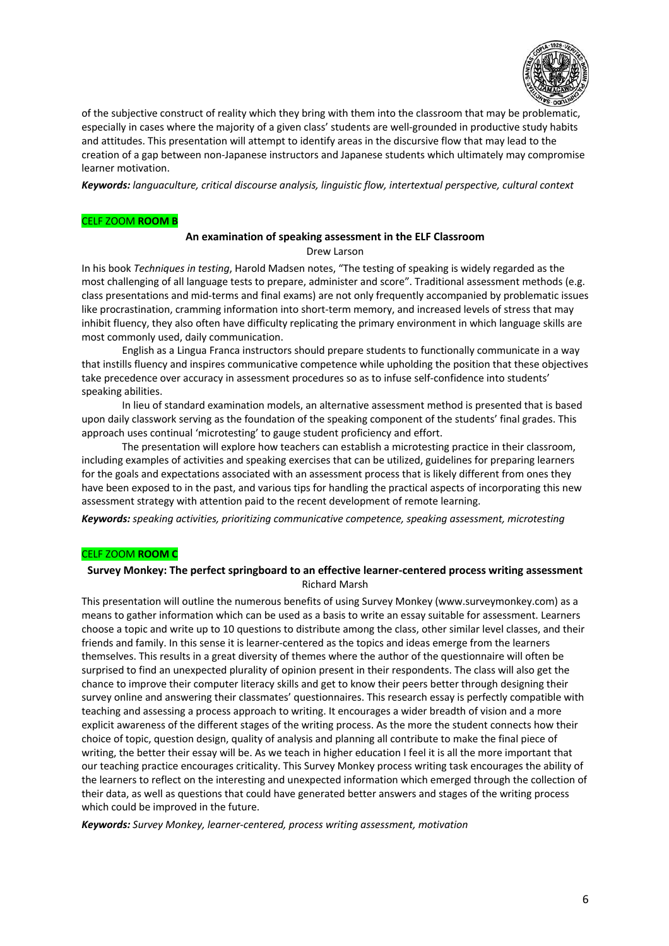

of the subjective construct of reality which they bring with them into the classroom that may be problematic, especially in cases where the majority of a given class' students are well-grounded in productive study habits and attitudes. This presentation will attempt to identify areas in the discursive flow that may lead to the creation of a gap between non-Japanese instructors and Japanese students which ultimately may compromise learner motivation.

*Keywords: languaculture, critical discourse analysis, linguistic flow, intertextual perspective, cultural context*

#### CELF ZOOM **ROOM B**

# **An examination of speaking assessment in the ELF Classroom**

Drew Larson

In his book *Techniques in testing*, Harold Madsen notes, "The testing of speaking is widely regarded as the most challenging of all language tests to prepare, administer and score". Traditional assessment methods (e.g. class presentations and mid-terms and final exams) are not only frequently accompanied by problematic issues like procrastination, cramming information into short-term memory, and increased levels of stress that may inhibit fluency, they also often have difficulty replicating the primary environment in which language skills are most commonly used, daily communication.

English as a Lingua Franca instructors should prepare students to functionally communicate in a way that instills fluency and inspires communicative competence while upholding the position that these objectives take precedence over accuracy in assessment procedures so as to infuse self-confidence into students' speaking abilities.

In lieu of standard examination models, an alternative assessment method is presented that is based upon daily classwork serving as the foundation of the speaking component of the students' final grades. This approach uses continual 'microtesting' to gauge student proficiency and effort.

The presentation will explore how teachers can establish a microtesting practice in their classroom, including examples of activities and speaking exercises that can be utilized, guidelines for preparing learners for the goals and expectations associated with an assessment process that is likely different from ones they have been exposed to in the past, and various tips for handling the practical aspects of incorporating this new assessment strategy with attention paid to the recent development of remote learning.

*Keywords: speaking activities, prioritizing communicative competence, speaking assessment, microtesting*

#### CELF ZOOM **ROOM C**

#### **Survey Monkey: The perfect springboard to an effective learner-centered process writing assessment**  Richard Marsh

This presentation will outline the numerous benefits of using Survey Monkey (www.surveymonkey.com) as a means to gather information which can be used as a basis to write an essay suitable for assessment. Learners choose a topic and write up to 10 questions to distribute among the class, other similar level classes, and their friends and family. In this sense it is learner-centered as the topics and ideas emerge from the learners themselves. This results in a great diversity of themes where the author of the questionnaire will often be surprised to find an unexpected plurality of opinion present in their respondents. The class will also get the chance to improve their computer literacy skills and get to know their peers better through designing their survey online and answering their classmates' questionnaires. This research essay is perfectly compatible with teaching and assessing a process approach to writing. It encourages a wider breadth of vision and a more explicit awareness of the different stages of the writing process. As the more the student connects how their choice of topic, question design, quality of analysis and planning all contribute to make the final piece of writing, the better their essay will be. As we teach in higher education I feel it is all the more important that our teaching practice encourages criticality. This Survey Monkey process writing task encourages the ability of the learners to reflect on the interesting and unexpected information which emerged through the collection of their data, as well as questions that could have generated better answers and stages of the writing process which could be improved in the future.

*Keywords: Survey Monkey, learner-centered, process writing assessment, motivation*